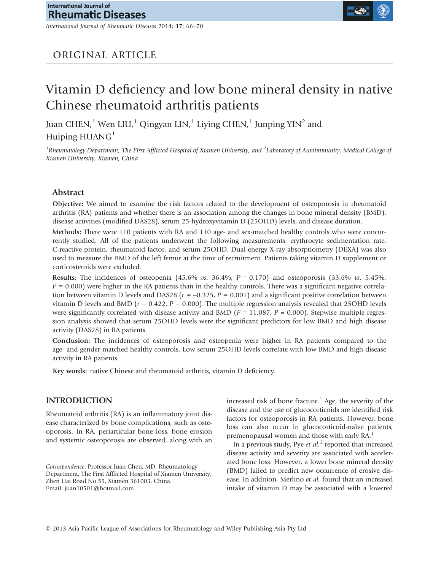International Journal of Rheumatic Diseases 2014; 17: 66–70

## ORIGINAL ARTICLE

# Vitamin D deficiency and low bone mineral density in native Chinese rheumatoid arthritis patients

Juan CHEN,<sup>1</sup> Wen LIU,<sup>1</sup> Qingyan LIN,<sup>1</sup> Liying CHEN,<sup>1</sup> Junping  $YIN^2$  and Huiping HUANG<sup>1</sup>

<sup>1</sup>Rheumatology Department, The First Afflicted Hospital of Xiamen University, and <sup>2</sup>Laboratory of Autoimmunity, Medical College of Xiamen University, Xiamen, China

## Abstract

Objective: We aimed to examine the risk factors related to the development of osteoporosis in rheumatoid arthritis (RA) patients and whether there is an association among the changes in bone mineral density (BMD), disease activities (modified DAS28), serum 25-hydroxyvitamin D (25OHD) levels, and disease duration.

Methods: There were 110 patients with RA and 110 age- and sex-matched healthy controls who were concurrently studied. All of the patients underwent the following measurements: erythrocyte sedimentation rate, C-reactive protein, rheumatoid factor, and serum 25OHD. Dual-energy X-ray absorptiometry (DEXA) was also used to measure the BMD of the left femur at the time of recruitment. Patients taking vitamin D supplement or corticosteroids were excluded.

**Results:** The incidences of osteopenia (45.6% *vs.* 36.4%,  $P = 0.170$ ) and osteoporosis (33.6% *vs.* 5.45%,  $P = 0.000$ ) were higher in the RA patients than in the healthy controls. There was a significant negative correlation between vitamin D levels and DAS28 ( $r = -0.325$ ,  $P = 0.001$ ) and a significant positive correlation between vitamin D levels and BMD ( $r = 0.422$ ,  $P = 0.000$ ). The multiple regression analysis revealed that 25OHD levels were significantly correlated with disease activity and BMD ( $F = 11.087$ ,  $P = 0.000$ ). Stepwise multiple regression analysis showed that serum 25OHD levels were the significant predictors for low BMD and high disease activity (DAS28) in RA patients.

Conclusion: The incidences of osteoporosis and osteopenia were higher in RA patients compared to the age- and gender-matched healthy controls. Low serum 25OHD levels correlate with low BMD and high disease activity in RA patients.

Key words: native Chinese and rheumatoid arthritis, vitamin D deficiency.

## INTRODUCTION

Rheumatoid arthritis (RA) is an inflammatory joint disease characterized by bone complications, such as osteoporosis. In RA, periarticular bone loss, bone erosion and systemic osteoporosis are observed, along with an

Correspondence: Professor Juan Chen, MD, Rheumatology Department, The First Afflicted Hospital of Xiamen University, Zhen Hai Road No.55, Xiamen 361003, China. Email: juan10501@hotmail.com

increased risk of bone fracture.<sup>1</sup> Age, the severity of the disease and the use of glucocorticoids are identified risk factors for osteoporosis in RA patients. However, bone loss can also occur in glucocorticoid-naïve patients, premenopausal women and those with early RA.<sup>1</sup>

In a previous study, Pye et  $al$ <sup>2</sup> reported that increased disease activity and severity are associated with accelerated bone loss. However, a lower bone mineral density (BMD) failed to predict new occurrence of erosive disease. In addition, Merlino et al. found that an increased intake of vitamin D may be associated with a lowered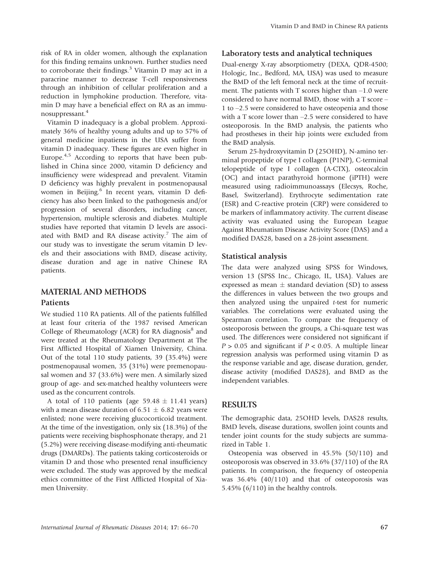risk of RA in older women, although the explanation for this finding remains unknown. Further studies need to corroborate their findings. $3$  Vitamin D may act in a paracrine manner to decrease T-cell responsiveness through an inhibition of cellular proliferation and a reduction in lymphokine production. Therefore, vitamin D may have a beneficial effect on RA as an immunosuppressant.<sup>4</sup>

Vitamin D inadequacy is a global problem. Approximately 36% of healthy young adults and up to 57% of general medicine inpatients in the USA suffer from vitamin D inadequacy. These figures are even higher in Europe. $4.5$  According to reports that have been published in China since 2000, vitamin D deficiency and insufficiency were widespread and prevalent. Vitamin D deficiency was highly prevalent in postmenopausal women in Beijing.<sup>6</sup> In recent years, vitamin D deficiency has also been linked to the pathogenesis and/or progression of several disorders, including cancer, hypertension, multiple sclerosis and diabetes. Multiple studies have reported that vitamin D levels are associated with BMD and RA disease activity.<sup>7</sup> The aim of our study was to investigate the serum vitamin D levels and their associations with BMD, disease activity, disease duration and age in native Chinese RA patients.

#### MATERIAL AND METHODS

#### Patients

We studied 110 RA patients. All of the patients fulfilled at least four criteria of the 1987 revised American College of Rheumatology (ACR) for RA diagnosis $8$  and were treated at the Rheumatology Department at The First Afflicted Hospital of Xiamen University, China. Out of the total 110 study patients, 39 (35.4%) were postmenopausal women, 35 (31%) were premenopausal women and 37 (33.6%) were men. A similarly sized group of age- and sex-matched healthy volunteers were used as the concurrent controls.

A total of 110 patients (age  $59.48 \pm 11.41$  years) with a mean disease duration of 6.51  $\pm$  6.82 years were enlisted; none were receiving glucocorticoid treatment. At the time of the investigation, only six (18.3%) of the patients were receiving bisphosphonate therapy, and 21 (5.2%) were receiving disease-modifying anti-rheumatic drugs (DMARDs). The patients taking corticosteroids or vitamin D and those who presented renal insufficiency were excluded. The study was approved by the medical ethics committee of the First Afflicted Hospital of Xiamen University.

#### Laboratory tests and analytical techniques

Dual-energy X-ray absorptiometry (DEXA, QDR-4500; Hologic, Inc., Bedford, MA, USA) was used to measure the BMD of the left femoral neck at the time of recruitment. The patients with T scores higher than –1.0 were considered to have normal BMD, those with a T score – 1 to –2.5 were considered to have osteopenia and those with a T score lower than –2.5 were considered to have osteoporosis. In the BMD analysis, the patients who had prostheses in their hip joints were excluded from the BMD analysis.

Serum 25-hydroxyvitamin D (25OHD), N-amino terminal propeptide of type I collagen (P1NP), C-terminal telopeptide of type I collagen (A-CTX), osteocalcin (OC) and intact parathyroid hormone (iPTH) were measured using radioimmunoassays (Elecsys, Roche, Basel, Switzerland). Erythrocyte sedimentation rate (ESR) and C-reactive protein (CRP) were considered to be markers of inflammatory activity. The current disease activity was evaluated using the European League Against Rheumatism Disease Activity Score (DAS) and a modified DAS28, based on a 28-joint assessment.

#### Statistical analysis

The data were analyzed using SPSS for Windows, version 13 (SPSS Inc., Chicago, IL, USA). Values are expressed as mean  $\pm$  standard deviation (SD) to assess the differences in values between the two groups and then analyzed using the unpaired t-test for numeric variables. The correlations were evaluated using the Spearman correlation. To compare the frequency of osteoporosis between the groups, a Chi-square test was used. The differences were considered not significant if  $P > 0.05$  and significant if  $P < 0.05$ . A multiple linear regression analysis was performed using vitamin D as the response variable and age, disease duration, gender, disease activity (modified DAS28), and BMD as the independent variables.

#### RESULTS

The demographic data, 25OHD levels, DAS28 results, BMD levels, disease durations, swollen joint counts and tender joint counts for the study subjects are summarized in Table 1.

Osteopenia was observed in 45.5% (50/110) and osteoporosis was observed in 33.6% (37/110) of the RA patients. In comparison, the frequency of osteopenia was 36.4% (40/110) and that of osteoporosis was 5.45% (6/110) in the healthy controls.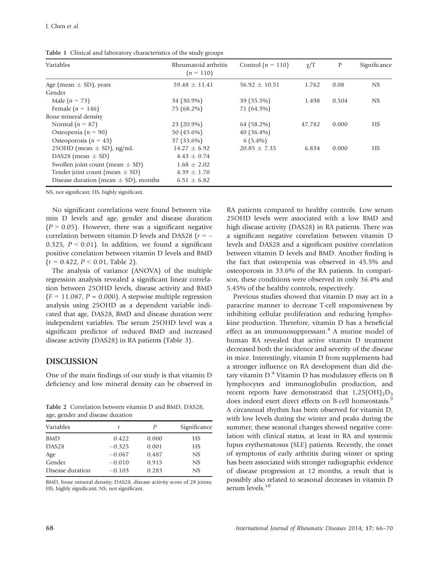| Table 1 Clinical and laboratory characteristics of the study groups |
|---------------------------------------------------------------------|
|---------------------------------------------------------------------|

| Variables                                | Rheumatoid arthritis<br>$(n = 110)$ | Control $(n = 110)$ | $\chi/T$ | $\mathbb{P}$ | Significance |
|------------------------------------------|-------------------------------------|---------------------|----------|--------------|--------------|
| Age (mean $\pm$ SD), years               | $59.48 \pm 11.41$                   | $56.92 \pm 10.51$   | 1.762    | 0.08         | NS           |
| Gender                                   |                                     |                     |          |              |              |
| Male $(n = 73)$                          | 34 (30.9%)                          | 39 (35.5%)          | 1.498    | 0.504        | NS           |
| Female ( $n = 146$ )                     | 75 (68.2%)                          | 71 (64.5%)          |          |              |              |
| Bone mineral density                     |                                     |                     |          |              |              |
| Normal $(n = 87)$                        | $23(20.9\%)$                        | 64 (58.2%)          | 47.782   | 0.000        | HS.          |
| Osteopenia ( $n = 90$ )                  | 50 $(45.6\%)$                       | $40(36.4\%)$        |          |              |              |
| Osteoporosis ( $n = 43$ )                | 37 (33.6%)                          | $6(5.4\%)$          |          |              |              |
| 25OHD (mean $\pm$ SD), ng/mL             | $14.27 + 6.92$                      | $20.85 \pm 7.35$    | 6.834    | 0.000        | <b>HS</b>    |
| DAS28 (mean $\pm$ SD)                    | $4.43 \pm 0.74$                     |                     |          |              |              |
| Swollen joint count (mean $\pm$ SD)      | $1.68 \pm 2.02$                     |                     |          |              |              |
| Tender joint count (mean $\pm$ SD)       | $4.39 \pm 1.70$                     |                     |          |              |              |
| Disease duration (mean $\pm$ SD), months | $6.51 \pm 6.82$                     |                     |          |              |              |

NS, not significant; HS, highly significant.

No significant correlations were found between vitamin D levels and age, gender and disease duration  $(P > 0.05)$ . However, there was a significant negative correlation between vitamin D levels and DAS28 ( $r = -$ 0.325,  $P < 0.01$ ). In addition, we found a significant positive correlation between vitamin D levels and BMD  $(r = 0.422, P < 0.01,$  Table 2).

The analysis of variance (ANOVA) of the multiple regression analysis revealed a significant linear correlation between 25OHD levels, disease activity and BMD  $(F = 11.087, P = 0.000)$ . A stepwise multiple regression analysis using 25OHD as a dependent variable indicated that age, DAS28, BMD and disease duration were independent variables. The serum 25OHD level was a significant predictor of reduced BMD and increased disease activity (DAS28) in RA patients (Table 3).

## DISCUSSION

One of the main findings of our study is that vitamin D deficiency and low mineral density can be observed in

Table 2 Correlation between vitamin D and BMD, DAS28, age, gender and disease duration

| Variables         | r        | P     | Significance |
|-------------------|----------|-------|--------------|
| <b>BMD</b>        | 0.422    | 0.000 | НS           |
| DAS <sub>28</sub> | $-0.325$ | 0.001 | HS           |
| Age               | $-0.067$ | 0.487 | NS           |
| Gender            | $-0.010$ | 0.915 | NS           |
| Disease duration  | $-0.103$ | 0.283 | NS           |
|                   |          |       |              |

BMD, bone mineral density; DAS28, disease activity score of 28 joints; HS, highly significant; NS, not significant.

RA patients compared to healthy controls. Low serum 25OHD levels were associated with a low BMD and high disease activity (DAS28) in RA patients. There was a significant negative correlation between vitamin D levels and DAS28 and a significant positive correlation between vitamin D levels and BMD. Another finding is the fact that osteopenia was observed in 45.5% and osteoporosis in 33.6% of the RA patients. In comparison, these conditions were observed in only 36.4% and 5.45% of the healthy controls, respectively.

Previous studies showed that vitamin D may act in a paracrine manner to decrease T-cell responsiveness by inhibiting cellular proliferation and reducing lymphokine production. Therefore, vitamin D has a beneficial effect as an immunosuppressant.<sup>4</sup> A murine model of human RA revealed that active vitamin D treatment decreased both the incidence and severity of the disease in mice. Interestingly, vitamin D from supplements had a stronger influence on RA development than did dietary vitamin  $D<sup>4</sup>$  Vitamin D has modulatory effects on B lymphocytes and immunoglobulin production, and recent reports have demonstrated that  $1,25(OH)_{2}D_{3}$ does indeed exert direct effects on B-cell homeostasis.<sup>9</sup> A circannual rhythm has been observed for vitamin D, with low levels during the winter and peaks during the summer; these seasonal changes showed negative correlation with clinical status, at least in RA and systemic lupus erythematosus (SLE) patients. Recently, the onset of symptoms of early arthritis during winter or spring has been associated with stronger radiographic evidence of disease progression at 12 months, a result that is possibly also related to seasonal decreases in vitamin D serum levels.<sup>10</sup>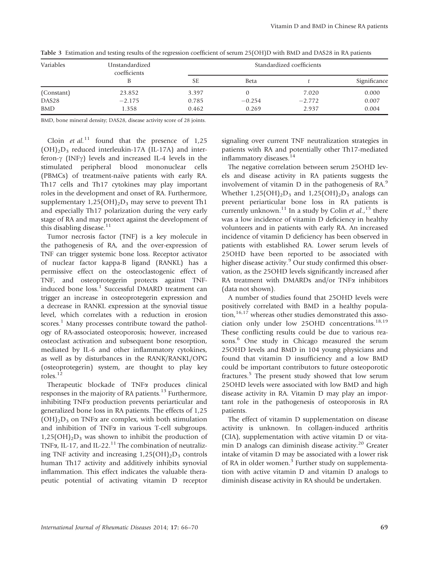| Variables         | Unstandardized<br>coefficients | Standardized coefficients |             |          |              |  |
|-------------------|--------------------------------|---------------------------|-------------|----------|--------------|--|
|                   |                                | SЕ                        | <b>Beta</b> |          | Significance |  |
| (Constant)        | 23.852                         | 3.397                     |             | 7.020    | 0.000        |  |
| DAS <sub>28</sub> | $-2.175$                       | 0.785                     | $-0.254$    | $-2.772$ | 0.007        |  |
| <b>BMD</b>        | 1.358                          | 0.462                     | 0.269       | 2.937    | 0.004        |  |

Table 3 Estimation and testing results of the regression coefficient of serum 25(OH)D with BMD and DAS28 in RA patients

BMD, bone mineral density; DAS28, disease activity score of 28 joints.

Cloin et al.<sup>11</sup> found that the presence of  $1,25$  $(OH)<sub>2</sub>D<sub>3</sub>$  reduced interleukin-17A (IL-17A) and interferon- $\gamma$  (INF $\gamma$ ) levels and increased IL-4 levels in the stimulated peripheral blood mononuclear cells (PBMCs) of treatment-naïve patients with early RA. Th17 cells and Th17 cytokines may play important roles in the development and onset of RA. Furthermore, supplementary  $1,25(OH)_{2}D_{3}$  may serve to prevent Th1 and especially Th17 polarization during the very early stage of RA and may protect against the development of this disabling disease. $11$ 

Tumor necrosis factor (TNF) is a key molecule in the pathogenesis of RA, and the over-expression of TNF can trigger systemic bone loss. Receptor activator of nuclear factor kappa-B ligand (RANKL) has a permissive effect on the osteoclastogenic effect of TNF, and osteoprotegerin protects against TNFinduced bone loss.<sup>1</sup> Successful DMARD treatment can trigger an increase in osteoprotegerin expression and a decrease in RANKL expression at the synovial tissue level, which correlates with a reduction in erosion scores.<sup>1</sup> Many processes contribute toward the pathology of RA-associated osteoporosis; however, increased osteoclast activation and subsequent bone resorption, mediated by IL-6 and other inflammatory cytokines, as well as by disturbances in the RANK/RANKL/OPG (osteoprotegerin) system, are thought to play key roles.<sup>12</sup>

Therapeutic blockade of TNFa produces clinical responses in the majority of RA patients.<sup>13</sup> Furthermore, inhibiting TNFa production prevents periarticular and generalized bone loss in RA patients. The effects of 1,25  $(OH)<sub>2</sub>D<sub>3</sub>$  on TNF $\alpha$  are complex, with both stimulation and inhibition of TNF $\alpha$  in various T-cell subgroups.  $1,25(OH)_{2}D_{3}$  was shown to inhibit the production of TNF $\alpha$ , IL-17, and IL-22.<sup>11</sup> The combination of neutralizing TNF activity and increasing  $1,25(OH)_{2}D_{3}$  controls human Th17 activity and additively inhibits synovial inflammation. This effect indicates the valuable therapeutic potential of activating vitamin D receptor

signaling over current TNF neutralization strategies in patients with RA and potentially other Th17-mediated inflammatory diseases.<sup>14</sup>

The negative correlation between serum 25OHD levels and disease activity in RA patients suggests the involvement of vitamin  $D$  in the pathogenesis of  $RA<sup>9</sup>$ . Whether  $1,25(OH)_2D_3$  and  $1,25(OH)_2D_3$  analogs can prevent periarticular bone loss in RA patients is currently unknown.<sup>11</sup> In a study by Colin et al.,<sup>15</sup> there was a low incidence of vitamin D deficiency in healthy volunteers and in patients with early RA. An increased incidence of vitamin D deficiency has been observed in patients with established RA. Lower serum levels of 25OHD have been reported to be associated with higher disease activity.<sup>9</sup> Our study confirmed this observation, as the 25OHD levels significantly increased after RA treatment with DMARDs and/or TNFa inhibitors (data not shown).

A number of studies found that 25OHD levels were positively correlated with BMD in a healthy popula- $\text{tion}_{t}^{16,17}$  whereas other studies demonstrated this association only under low 25OHD concentrations.<sup>18,19</sup> These conflicting results could be due to various reasons.<sup>6</sup> One study in Chicago measured the serum 25OHD levels and BMD in 104 young physicians and found that vitamin D insufficiency and a low BMD could be important contributors to future osteoporotic fractures.<sup>5</sup> The present study showed that low serum 25OHD levels were associated with low BMD and high disease activity in RA. Vitamin D may play an important role in the pathogenesis of osteoporosis in RA patients.

The effect of vitamin D supplementation on disease activity is unknown. In collagen-induced arthritis (CIA), supplementation with active vitamin D or vitamin D analogs can diminish disease activity.<sup>20</sup> Greater intake of vitamin D may be associated with a lower risk of RA in older women.<sup>3</sup> Further study on supplementation with active vitamin D and vitamin D analogs to diminish disease activity in RA should be undertaken.